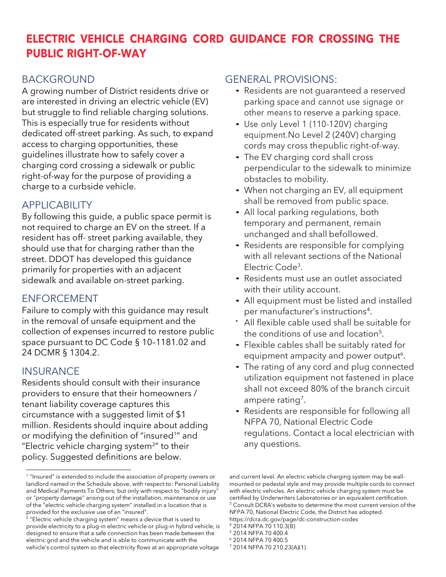# **ELECTRIC VEHICLE CHARGING CORD GUIDANCE FOR CROSSING THE PUBLIC RIGHT-OF-WAY**

### BACKGROUND

A growing number of District residents drive or are interested in driving an electric vehicle (EV) but struggle to find reliable charging solutions. This is especially true for residents without dedicated off-street parking. As such, to expand access to charging opportunities, these guidelines illustrate how to safely cover a charging cord crossing a sidewalk or public right-of-way for the purpose of providing a charge to a curbside vehicle.

## APPLICABILITY

By following this guide, a public space permit is not required to charge an EV on the street. If a resident has off- street parking available, they should use that for charging rather than the street. DDOT has developed this guidance primarily for properties with an adjacent sidewalk and available on-street parking.

# ENFORCEMENT

Failure to comply with this guidance may result in the removal of unsafe equipment and the collection of expenses incurred to restore public space pursuant to DC Code § 10–1181.02 and 24 DCMR § 1304.2.

### **INSURANCE**

Residents should consult with their insurance providers to ensure that their homeowners / tenant liability coverage captures this circumstance with a suggested limit of \$1 million. Residents should inquire about adding or modifying the definition of "insured<sup>1</sup> " and "Electric vehicle charging system $2$ " to their policy. Suggested definitions are below.

### GENERAL PROVISIONS:

- Residents are not guaranteed a reserved parking space and cannot use signage or other means to reserve a parking space.
- Use only Level <sup>1</sup> (110-120V) charging equipment.No Level 2 (240V) charging cords may cross thepublic right-of-way.
- The EV charging cord shall cross perpendicular to the sidewalk to minimize obstacles to mobility.
- When not charging an EV, all equipment shall be removed from public space.
- All local parking regulations, both temporary and permanent, remain unchanged and shall befollowed.
- Residents are responsible for complying with all relevant sections of the National Electric Code<sup>3</sup>.
- Residents must use an outlet associated with their utility account.
- All equipment must be listed and installed per manufacturer's instructions<sup>4</sup>.
- All flexible cable used shall be suitable for the conditions of use and location<sup>5</sup>.
- Flexible cables shall be suitably rated for equipment ampacity and power output<sup>6</sup>.
- The rating of any cord and plug connected utilization equipment not fastened in place shall not exceed 80% of the branch circuit ampere rating<sup>7</sup>.
- Residents are responsible for following all NFPA 70, National Electric Code regulations. Contact a local electrician with any questions.

<sup>&</sup>lt;sup>1</sup> "Insured" is extended to include the association of property owners or landlord named in the Schedule above, with respect to: Personal Liability and Medical Payments To Others; but only with respect to "bodily injury" or "property damage" arising out of the installation, maintenance or use of the "electric vehicle charging system" installed in a location that is

provided for the exclusive use of an "insured". 2 "Electric vehicle charging system" means a device that is used to provide electricity to a plug-in electric vehicle or plug-in hybrid vehicle, is designed to ensure that a safe connection has been made between the electric grid and the vehicle and is able to communicate with the vehicle's control system so that electricity flows at an appropriate voltage

and current level. An electric vehicle charging system may be wallmounted or pedestal style and may provide multiple cords to connect with electric vehicles. An electric vehicle charging system must be certified by Underwriters Laboratories or an equivalent certification <sup>3</sup> Consult DCRA's website to determine the most current version of the NFPA 70, National Electric Code, the District has adopted. https://dcra.dc.gov/page/dc-construction-codes

<sup>4</sup> 2014 NFPA 70 110.3(B)

<sup>5</sup> 2014 NFPA 70 400.4

<sup>6</sup> 2014 NFPA 70 400.5

<sup>7</sup> 2014 NFPA 70 210.23(A)(1)